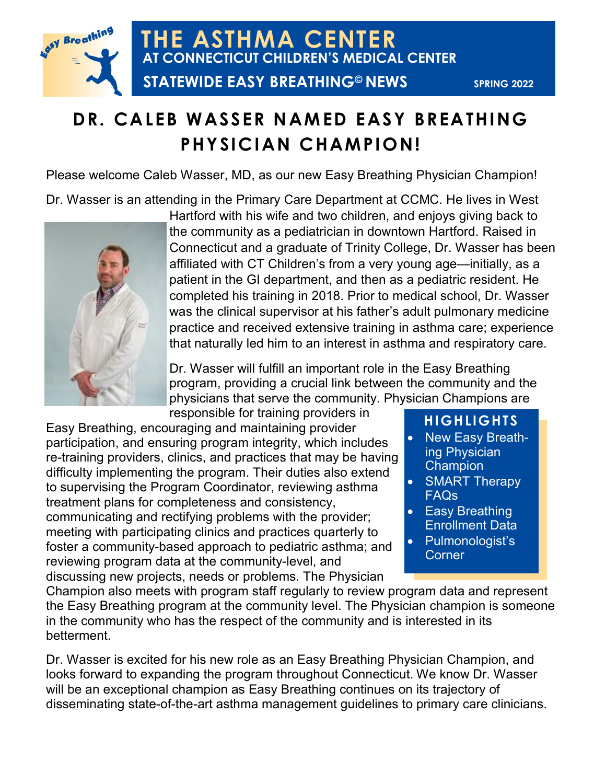

## **DR. CALEB WASSER NAMED EASY BREATHING PHYSICIAN CHAMPION!**

Please welcome Caleb Wasser, MD, as our new Easy Breathing Physician Champion!

Dr. Wasser is an attending in the Primary Care Department at CCMC. He lives in West



Hartford with his wife and two children, and enjoys giving back to the community as a pediatrician in downtown Hartford. Raised in Connecticut and a graduate of Trinity College, Dr. Wasser has been affiliated with CT Children's from a very young age—initially, as a patient in the GI department, and then as a pediatric resident. He completed his training in 2018. Prior to medical school, Dr. Wasser was the clinical supervisor at his father's adult pulmonary medicine practice and received extensive training in asthma care; experience that naturally led him to an interest in asthma and respiratory care.

Dr. Wasser will fulfill an important role in the Easy Breathing program, providing a crucial link between the community and the physicians that serve the community. Physician Champions are responsible for training providers in

Easy Breathing, encouraging and maintaining provider participation, and ensuring program integrity, which includes re-training providers, clinics, and practices that may be having difficulty implementing the program. Their duties also extend to supervising the Program Coordinator, reviewing asthma treatment plans for completeness and consistency, communicating and rectifying problems with the provider; meeting with participating clinics and practices quarterly to foster a community-based approach to pediatric asthma; and reviewing program data at the community-level, and discussing new projects, needs or problems. The Physician

### **HIGHLIGHTS**

- New Easy Breathing Physician **Champion**
- SMART Therapy FAQs
- Easy Breathing Enrollment Data
- Pulmonologist's **Corner**

Champion also meets with program staff regularly to review program data and represent the Easy Breathing program at the community level. The Physician champion is someone in the community who has the respect of the community and is interested in its betterment.

Dr. Wasser is excited for his new role as an Easy Breathing Physician Champion, and looks forward to expanding the program throughout Connecticut. We know Dr. Wasser will be an exceptional champion as Easy Breathing continues on its trajectory of disseminating state-of-the-art asthma management guidelines to primary care clinicians.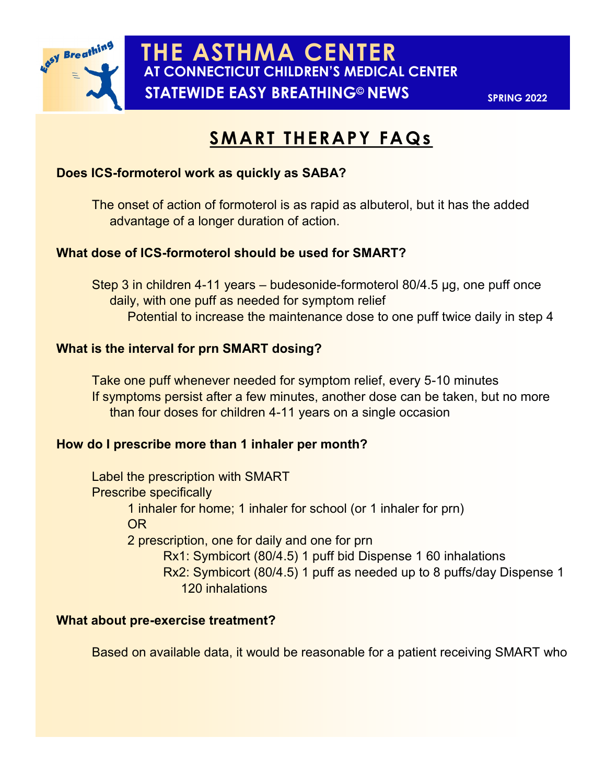

## **SMART THERAPY FAQs**

#### **Does ICS-formoterol work as quickly as SABA?**

The onset of action of formoterol is as rapid as albuterol, but it has the added advantage of a longer duration of action.

#### **What dose of ICS-formoterol should be used for SMART?**

Step 3 in children 4-11 years – budesonide-formoterol 80/4.5 µg, one puff once daily, with one puff as needed for symptom relief Potential to increase the maintenance dose to one puff twice daily in step 4

#### **What is the interval for prn SMART dosing?**

Take one puff whenever needed for symptom relief, every 5-10 minutes If symptoms persist after a few minutes, another dose can be taken, but no more than four doses for children 4-11 years on a single occasion

#### **How do I prescribe more than 1 inhaler per month?**

Label the prescription with SMART Prescribe specifically 1 inhaler for home; 1 inhaler for school (or 1 inhaler for prn) OR 2 prescription, one for daily and one for prn Rx1: Symbicort (80/4.5) 1 puff bid Dispense 1 60 inhalations Rx2: Symbicort (80/4.5) 1 puff as needed up to 8 puffs/day Dispense 1 120 inhalations

#### **What about pre-exercise treatment?**

Based on available data, it would be reasonable for a patient receiving SMART who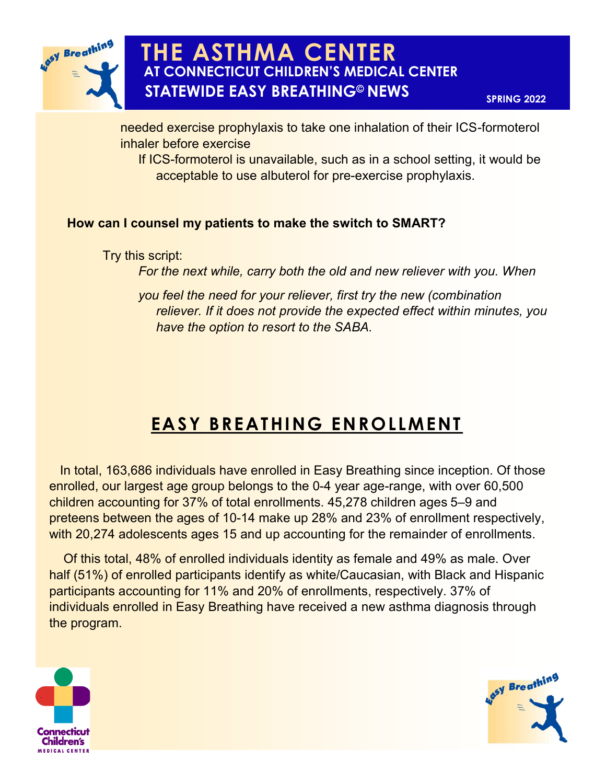

**AT CONNECTICUT CHILDREN'S MEDICAL CENTER THE ASTHMA CENTER STATEWIDE EASY BREATHING© NEWS**

**SPRING 2022**

needed exercise prophylaxis to take one inhalation of their ICS-formoterol inhaler before exercise

If ICS-formoterol is unavailable, such as in a school setting, it would be acceptable to use albuterol for pre-exercise prophylaxis.

#### **How can I counsel my patients to make the switch to SMART?**

Try this script:

*For the next while, carry both the old and new reliever with you. When*

*you feel the need for your reliever, first try the new (combination reliever. If it does not provide the expected effect within minutes, you have the option to resort to the SABA.*

# **EASY BREATHING ENROLLMENT**

 In total, 163,686 individuals have enrolled in Easy Breathing since inception. Of those enrolled, our largest age group belongs to the 0-4 year age-range, with over 60,500 children accounting for 37% of total enrollments. 45,278 children ages 5–9 and preteens between the ages of 10-14 make up 28% and 23% of enrollment respectively, with 20,274 adolescents ages 15 and up accounting for the remainder of enrollments.

 Of this total, 48% of enrolled individuals identity as female and 49% as male. Over half (51%) of enrolled participants identify as white/Caucasian, with Black and Hispanic participants accounting for 11% and 20% of enrollments, respectively. 37% of individuals enrolled in Easy Breathing have received a new asthma diagnosis through the program.